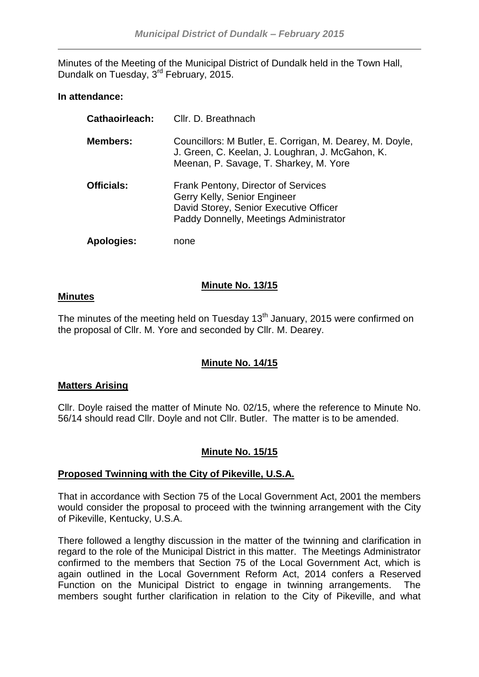Minutes of the Meeting of the Municipal District of Dundalk held in the Town Hall, Dundalk on Tuesday, 3<sup>rd</sup> February, 2015.

## **In attendance:**

| Cathaoirleach:    | Cllr. D. Breathnach                                                                                                                                     |
|-------------------|---------------------------------------------------------------------------------------------------------------------------------------------------------|
| <b>Members:</b>   | Councillors: M Butler, E. Corrigan, M. Dearey, M. Doyle,<br>J. Green, C. Keelan, J. Loughran, J. McGahon, K.<br>Meenan, P. Savage, T. Sharkey, M. Yore  |
| <b>Officials:</b> | Frank Pentony, Director of Services<br>Gerry Kelly, Senior Engineer<br>David Storey, Senior Executive Officer<br>Paddy Donnelly, Meetings Administrator |
| Apologies:        | none                                                                                                                                                    |

# **Minute No. 13/15**

## **Minutes**

The minutes of the meeting held on Tuesday  $13<sup>th</sup>$  January, 2015 were confirmed on the proposal of Cllr. M. Yore and seconded by Cllr. M. Dearey.

# **Minute No. 14/15**

## **Matters Arising**

Cllr. Doyle raised the matter of Minute No. 02/15, where the reference to Minute No. 56/14 should read Cllr. Doyle and not Cllr. Butler. The matter is to be amended.

## **Minute No. 15/15**

## **Proposed Twinning with the City of Pikeville, U.S.A.**

That in accordance with Section 75 of the Local Government Act, 2001 the members would consider the proposal to proceed with the twinning arrangement with the City of Pikeville, Kentucky, U.S.A.

There followed a lengthy discussion in the matter of the twinning and clarification in regard to the role of the Municipal District in this matter. The Meetings Administrator confirmed to the members that Section 75 of the Local Government Act, which is again outlined in the Local Government Reform Act, 2014 confers a Reserved Function on the Municipal District to engage in twinning arrangements. The members sought further clarification in relation to the City of Pikeville, and what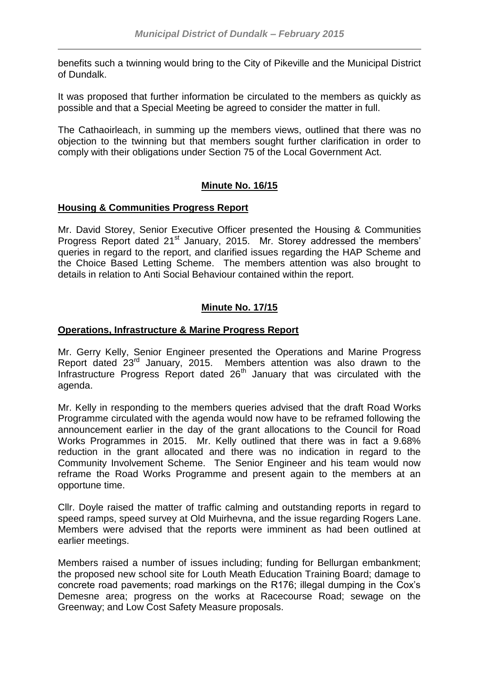benefits such a twinning would bring to the City of Pikeville and the Municipal District of Dundalk.

It was proposed that further information be circulated to the members as quickly as possible and that a Special Meeting be agreed to consider the matter in full.

The Cathaoirleach, in summing up the members views, outlined that there was no objection to the twinning but that members sought further clarification in order to comply with their obligations under Section 75 of the Local Government Act.

# **Minute No. 16/15**

## **Housing & Communities Progress Report**

Mr. David Storey, Senior Executive Officer presented the Housing & Communities Progress Report dated 21<sup>st</sup> January, 2015. Mr. Storey addressed the members' queries in regard to the report, and clarified issues regarding the HAP Scheme and the Choice Based Letting Scheme. The members attention was also brought to details in relation to Anti Social Behaviour contained within the report.

# **Minute No. 17/15**

### **Operations, Infrastructure & Marine Progress Report**

Mr. Gerry Kelly, Senior Engineer presented the Operations and Marine Progress Report dated 23rd January, 2015. Members attention was also drawn to the Infrastructure Progress Report dated  $26<sup>th</sup>$  January that was circulated with the agenda.

Mr. Kelly in responding to the members queries advised that the draft Road Works Programme circulated with the agenda would now have to be reframed following the announcement earlier in the day of the grant allocations to the Council for Road Works Programmes in 2015. Mr. Kelly outlined that there was in fact a 9.68% reduction in the grant allocated and there was no indication in regard to the Community Involvement Scheme. The Senior Engineer and his team would now reframe the Road Works Programme and present again to the members at an opportune time.

Cllr. Doyle raised the matter of traffic calming and outstanding reports in regard to speed ramps, speed survey at Old Muirhevna, and the issue regarding Rogers Lane. Members were advised that the reports were imminent as had been outlined at earlier meetings.

Members raised a number of issues including; funding for Bellurgan embankment; the proposed new school site for Louth Meath Education Training Board; damage to concrete road pavements; road markings on the R176; illegal dumping in the Cox's Demesne area; progress on the works at Racecourse Road; sewage on the Greenway; and Low Cost Safety Measure proposals.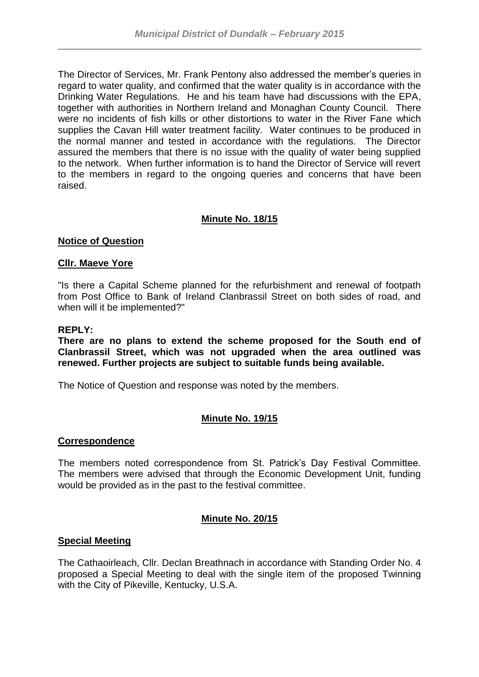The Director of Services, Mr. Frank Pentony also addressed the member's queries in regard to water quality, and confirmed that the water quality is in accordance with the Drinking Water Regulations. He and his team have had discussions with the EPA, together with authorities in Northern Ireland and Monaghan County Council. There were no incidents of fish kills or other distortions to water in the River Fane which supplies the Cavan Hill water treatment facility. Water continues to be produced in the normal manner and tested in accordance with the regulations. The Director assured the members that there is no issue with the quality of water being supplied to the network. When further information is to hand the Director of Service will revert to the members in regard to the ongoing queries and concerns that have been raised.

# **Minute No. 18/15**

## **Notice of Question**

### **Cllr. Maeve Yore**

"Is there a Capital Scheme planned for the refurbishment and renewal of footpath from Post Office to Bank of Ireland Clanbrassil Street on both sides of road, and when will it be implemented?"

### **REPLY:**

**There are no plans to extend the scheme proposed for the South end of Clanbrassil Street, which was not upgraded when the area outlined was renewed. Further projects are subject to suitable funds being available.**

The Notice of Question and response was noted by the members.

## **Minute No. 19/15**

### **Correspondence**

The members noted correspondence from St. Patrick's Day Festival Committee. The members were advised that through the Economic Development Unit, funding would be provided as in the past to the festival committee.

### **Minute No. 20/15**

### **Special Meeting**

The Cathaoirleach, Cllr. Declan Breathnach in accordance with Standing Order No. 4 proposed a Special Meeting to deal with the single item of the proposed Twinning with the City of Pikeville, Kentucky, U.S.A.